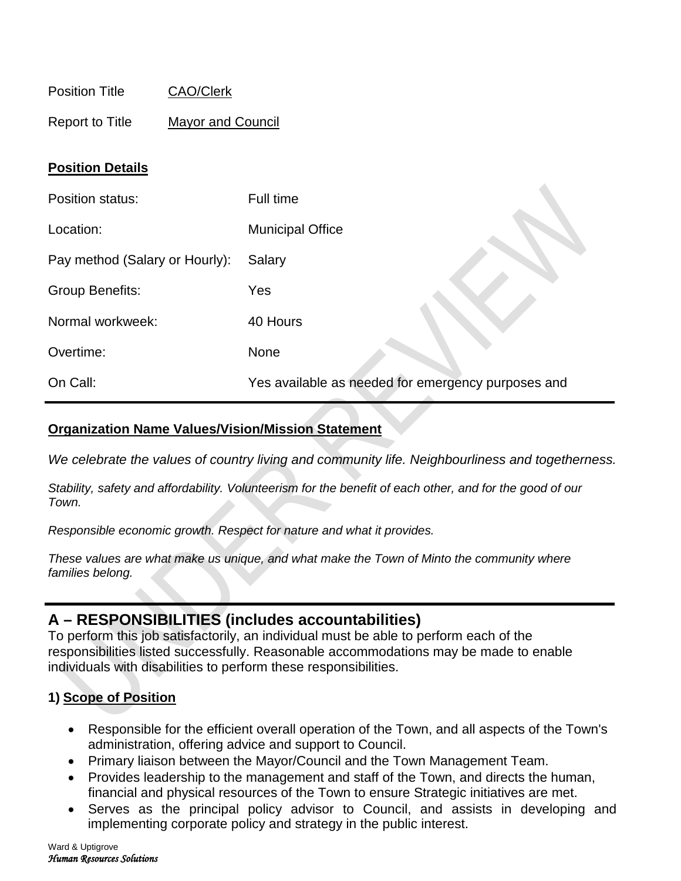| <b>Position Title</b> | <b>CAO/Clerk</b> |
|-----------------------|------------------|
|                       |                  |

Report to Title Mayor and Council

### **Position Details**

| Position status:               | Full time                                          |
|--------------------------------|----------------------------------------------------|
| Location:                      | <b>Municipal Office</b>                            |
| Pay method (Salary or Hourly): | Salary                                             |
| <b>Group Benefits:</b>         | Yes                                                |
| Normal workweek:               | 40 Hours                                           |
| Overtime:                      | <b>None</b>                                        |
| On Call:                       | Yes available as needed for emergency purposes and |

#### **Organization Name Values/Vision/Mission Statement**

*We celebrate the values of country living and community life. Neighbourliness and togetherness.*

*Stability, safety and affordability. Volunteerism for the benefit of each other, and for the good of our Town.*

*Responsible economic growth. Respect for nature and what it provides.*

*These values are what make us unique, and what make the Town of Minto the community where families belong.*

# **A – RESPONSIBILITIES (includes accountabilities)**

To perform this job satisfactorily, an individual must be able to perform each of the responsibilities listed successfully. Reasonable accommodations may be made to enable individuals with disabilities to perform these responsibilities.

## **1) Scope of Position**

- Responsible for the efficient overall operation of the Town, and all aspects of the Town's administration, offering advice and support to Council.
- Primary liaison between the Mayor/Council and the Town Management Team.
- Provides leadership to the management and staff of the Town, and directs the human, financial and physical resources of the Town to ensure Strategic initiatives are met.
- Serves as the principal policy advisor to Council, and assists in developing and implementing corporate policy and strategy in the public interest.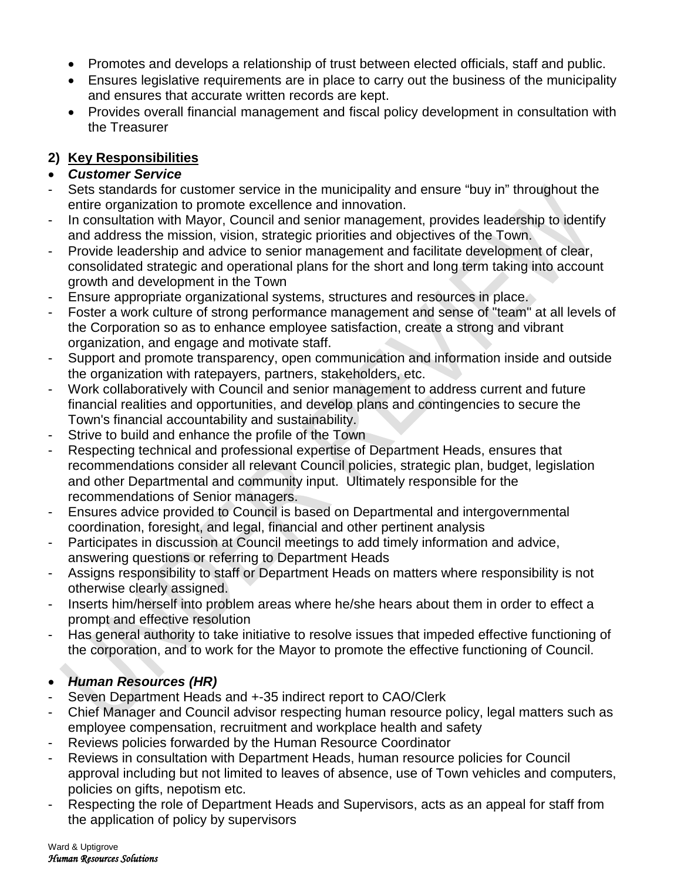- Promotes and develops a relationship of trust between elected officials, staff and public.
- Ensures legislative requirements are in place to carry out the business of the municipality and ensures that accurate written records are kept.
- Provides overall financial management and fiscal policy development in consultation with the Treasurer

## **2) Key Responsibilities**

## • *Customer Service*

- Sets standards for customer service in the municipality and ensure "buy in" throughout the entire organization to promote excellence and innovation.
- In consultation with Mayor, Council and senior management, provides leadership to identify and address the mission, vision, strategic priorities and objectives of the Town.
- Provide leadership and advice to senior management and facilitate development of clear, consolidated strategic and operational plans for the short and long term taking into account growth and development in the Town
- Ensure appropriate organizational systems, structures and resources in place.
- Foster a work culture of strong performance management and sense of "team" at all levels of the Corporation so as to enhance employee satisfaction, create a strong and vibrant organization, and engage and motivate staff.
- Support and promote transparency, open communication and information inside and outside the organization with ratepayers, partners, stakeholders, etc.
- Work collaboratively with Council and senior management to address current and future financial realities and opportunities, and develop plans and contingencies to secure the Town's financial accountability and sustainability.
- Strive to build and enhance the profile of the Town
- Respecting technical and professional expertise of Department Heads, ensures that recommendations consider all relevant Council policies, strategic plan, budget, legislation and other Departmental and community input. Ultimately responsible for the recommendations of Senior managers.
- Ensures advice provided to Council is based on Departmental and intergovernmental coordination, foresight, and legal, financial and other pertinent analysis
- Participates in discussion at Council meetings to add timely information and advice, answering questions or referring to Department Heads
- Assigns responsibility to staff or Department Heads on matters where responsibility is not otherwise clearly assigned.
- Inserts him/herself into problem areas where he/she hears about them in order to effect a prompt and effective resolution
- Has general authority to take initiative to resolve issues that impeded effective functioning of the corporation, and to work for the Mayor to promote the effective functioning of Council.

## • *Human Resources (HR)*

- Seven Department Heads and +-35 indirect report to CAO/Clerk
- Chief Manager and Council advisor respecting human resource policy, legal matters such as employee compensation, recruitment and workplace health and safety
- Reviews policies forwarded by the Human Resource Coordinator
- Reviews in consultation with Department Heads, human resource policies for Council approval including but not limited to leaves of absence, use of Town vehicles and computers, policies on gifts, nepotism etc.
- Respecting the role of Department Heads and Supervisors, acts as an appeal for staff from the application of policy by supervisors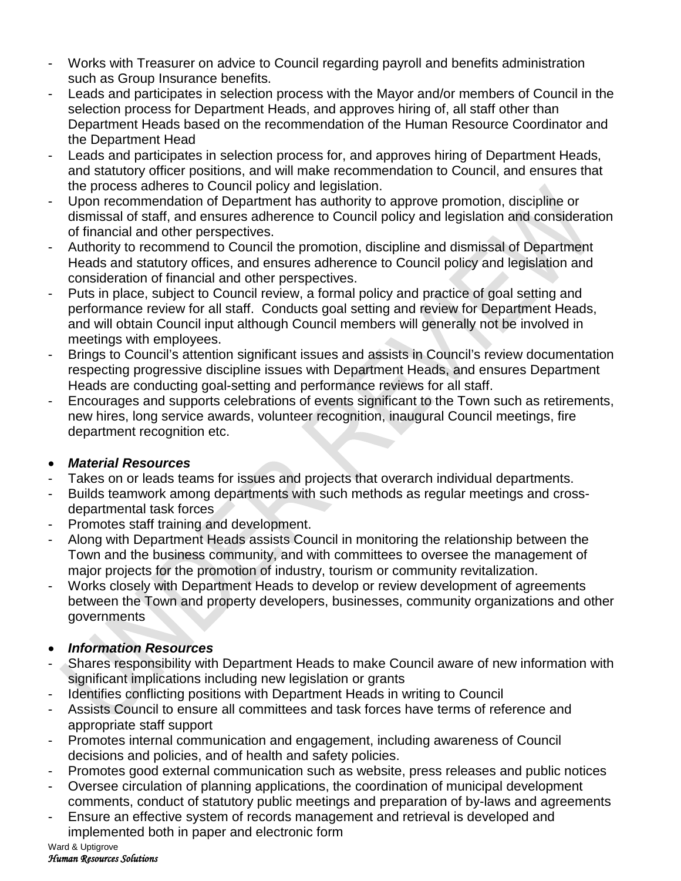- Works with Treasurer on advice to Council regarding payroll and benefits administration such as Group Insurance benefits.
- Leads and participates in selection process with the Mayor and/or members of Council in the selection process for Department Heads, and approves hiring of, all staff other than Department Heads based on the recommendation of the Human Resource Coordinator and the Department Head
- Leads and participates in selection process for, and approves hiring of Department Heads, and statutory officer positions, and will make recommendation to Council, and ensures that the process adheres to Council policy and legislation.
- Upon recommendation of Department has authority to approve promotion, discipline or dismissal of staff, and ensures adherence to Council policy and legislation and consideration of financial and other perspectives.
- Authority to recommend to Council the promotion, discipline and dismissal of Department Heads and statutory offices, and ensures adherence to Council policy and legislation and consideration of financial and other perspectives.
- Puts in place, subject to Council review, a formal policy and practice of goal setting and performance review for all staff. Conducts goal setting and review for Department Heads, and will obtain Council input although Council members will generally not be involved in meetings with employees.
- Brings to Council's attention significant issues and assists in Council's review documentation respecting progressive discipline issues with Department Heads, and ensures Department Heads are conducting goal-setting and performance reviews for all staff.
- Encourages and supports celebrations of events significant to the Town such as retirements, new hires, long service awards, volunteer recognition, inaugural Council meetings, fire department recognition etc.

## • *Material Resources*

- Takes on or leads teams for issues and projects that overarch individual departments.
- Builds teamwork among departments with such methods as regular meetings and crossdepartmental task forces
- Promotes staff training and development.
- Along with Department Heads assists Council in monitoring the relationship between the Town and the business community, and with committees to oversee the management of major projects for the promotion of industry, tourism or community revitalization.
- Works closely with Department Heads to develop or review development of agreements between the Town and property developers, businesses, community organizations and other governments
- *Information Resources*
- Shares responsibility with Department Heads to make Council aware of new information with significant implications including new legislation or grants
- Identifies conflicting positions with Department Heads in writing to Council
- Assists Council to ensure all committees and task forces have terms of reference and appropriate staff support
- Promotes internal communication and engagement, including awareness of Council decisions and policies, and of health and safety policies.
- Promotes good external communication such as website, press releases and public notices
- Oversee circulation of planning applications, the coordination of municipal development comments, conduct of statutory public meetings and preparation of by-laws and agreements
- Ensure an effective system of records management and retrieval is developed and implemented both in paper and electronic form

Ward & Uptigrove *Human Resources Solutions*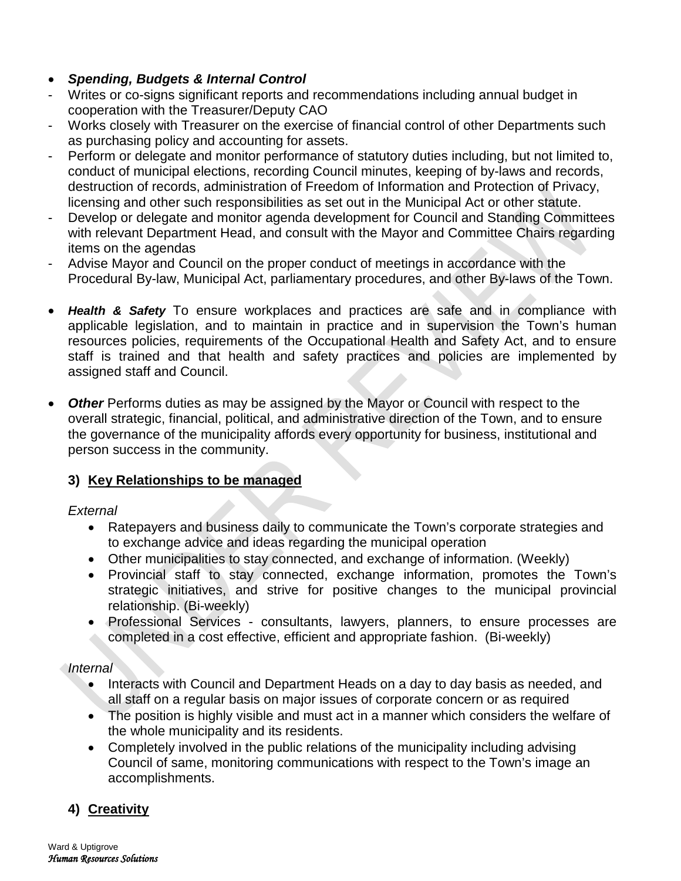## • *Spending, Budgets & Internal Control*

- Writes or co-signs significant reports and recommendations including annual budget in cooperation with the Treasurer/Deputy CAO
- Works closely with Treasurer on the exercise of financial control of other Departments such as purchasing policy and accounting for assets.
- Perform or delegate and monitor performance of statutory duties including, but not limited to, conduct of municipal elections, recording Council minutes, keeping of by-laws and records, destruction of records, administration of Freedom of Information and Protection of Privacy, licensing and other such responsibilities as set out in the Municipal Act or other statute.
- Develop or delegate and monitor agenda development for Council and Standing Committees with relevant Department Head, and consult with the Mayor and Committee Chairs regarding items on the agendas
- Advise Mayor and Council on the proper conduct of meetings in accordance with the Procedural By-law, Municipal Act, parliamentary procedures, and other By-laws of the Town.
- *Health & Safety* To ensure workplaces and practices are safe and in compliance with applicable legislation, and to maintain in practice and in supervision the Town's human resources policies, requirements of the Occupational Health and Safety Act, and to ensure staff is trained and that health and safety practices and policies are implemented by assigned staff and Council.
- *Other* Performs duties as may be assigned by the Mayor or Council with respect to the overall strategic, financial, political, and administrative direction of the Town, and to ensure the governance of the municipality affords every opportunity for business, institutional and person success in the community.

## **3) Key Relationships to be managed**

## *External*

- Ratepayers and business daily to communicate the Town's corporate strategies and to exchange advice and ideas regarding the municipal operation
- Other municipalities to stay connected, and exchange of information. (Weekly)
- Provincial staff to stay connected, exchange information, promotes the Town's strategic initiatives, and strive for positive changes to the municipal provincial relationship. (Bi-weekly)
- Professional Services consultants, lawyers, planners, to ensure processes are completed in a cost effective, efficient and appropriate fashion. (Bi-weekly)

## *Internal*

- Interacts with Council and Department Heads on a day to day basis as needed, and all staff on a regular basis on major issues of corporate concern or as required
- The position is highly visible and must act in a manner which considers the welfare of the whole municipality and its residents.
- Completely involved in the public relations of the municipality including advising Council of same, monitoring communications with respect to the Town's image an accomplishments.

## **4) Creativity**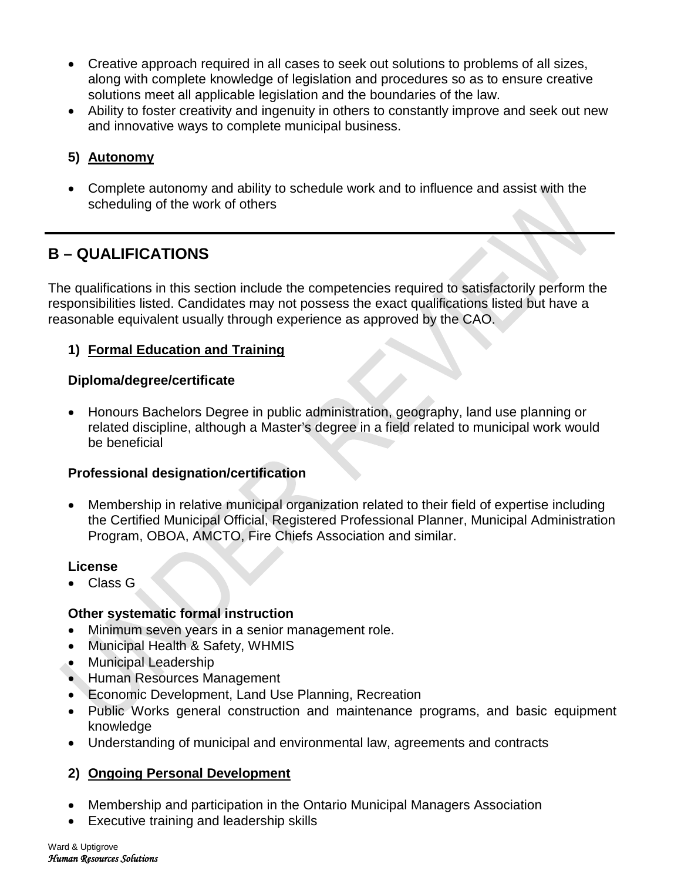- Creative approach required in all cases to seek out solutions to problems of all sizes, along with complete knowledge of legislation and procedures so as to ensure creative solutions meet all applicable legislation and the boundaries of the law.
- Ability to foster creativity and ingenuity in others to constantly improve and seek out new and innovative ways to complete municipal business.

## **5) Autonomy**

• Complete autonomy and ability to schedule work and to influence and assist with the scheduling of the work of others

# **B – QUALIFICATIONS**

The qualifications in this section include the competencies required to satisfactorily perform the responsibilities listed. Candidates may not possess the exact qualifications listed but have a reasonable equivalent usually through experience as approved by the CAO.

## **1) Formal Education and Training**

#### **Diploma/degree/certificate**

• Honours Bachelors Degree in public administration, geography, land use planning or related discipline, although a Master's degree in a field related to municipal work would be beneficial

## **Professional designation/certification**

• Membership in relative municipal organization related to their field of expertise including the Certified Municipal Official, Registered Professional Planner, Municipal Administration Program, OBOA, AMCTO, Fire Chiefs Association and similar.

#### **License**

• Class G

## **Other systematic formal instruction**

- Minimum seven years in a senior management role.
- Municipal Health & Safety, WHMIS
- Municipal Leadership
- Human Resources Management
- Economic Development, Land Use Planning, Recreation
- Public Works general construction and maintenance programs, and basic equipment knowledge
- Understanding of municipal and environmental law, agreements and contracts

## **2) Ongoing Personal Development**

- Membership and participation in the Ontario Municipal Managers Association
- Executive training and leadership skills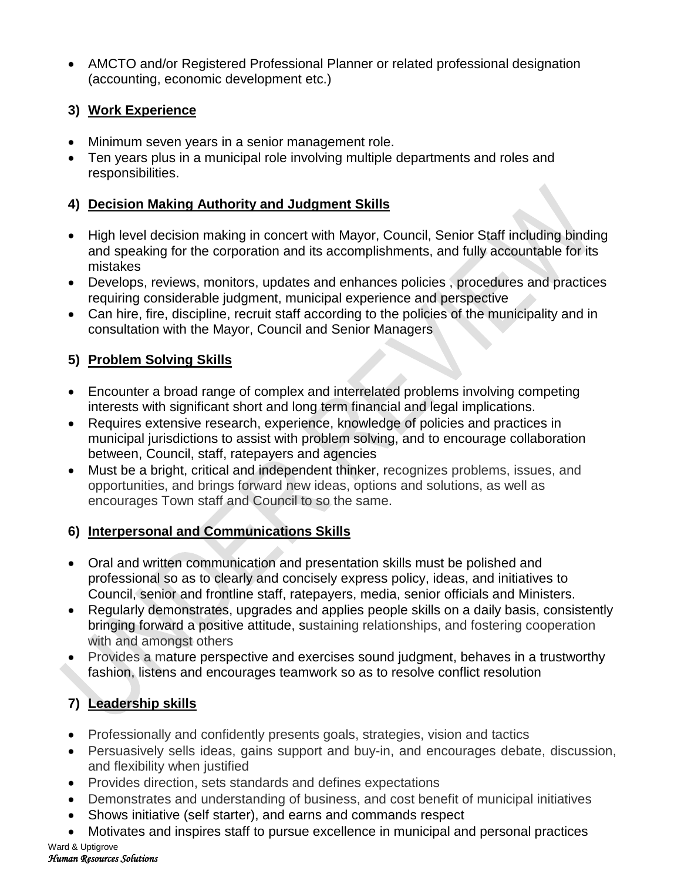• AMCTO and/or Registered Professional Planner or related professional designation (accounting, economic development etc.)

## **3) Work Experience**

- Minimum seven years in a senior management role.
- Ten years plus in a municipal role involving multiple departments and roles and responsibilities.

## **4) Decision Making Authority and Judgment Skills**

- High level decision making in concert with Mayor, Council, Senior Staff including binding and speaking for the corporation and its accomplishments, and fully accountable for its mistakes
- Develops, reviews, monitors, updates and enhances policies , procedures and practices requiring considerable judgment, municipal experience and perspective
- Can hire, fire, discipline, recruit staff according to the policies of the municipality and in consultation with the Mayor, Council and Senior Managers

## **5) Problem Solving Skills**

- Encounter a broad range of complex and interrelated problems involving competing interests with significant short and long term financial and legal implications.
- Requires extensive research, experience, knowledge of policies and practices in municipal jurisdictions to assist with problem solving, and to encourage collaboration between, Council, staff, ratepayers and agencies
- Must be a bright, critical and independent thinker, recognizes problems, issues, and opportunities, and brings forward new ideas, options and solutions, as well as encourages Town staff and Council to so the same.

## **6) Interpersonal and Communications Skills**

- Oral and written communication and presentation skills must be polished and professional so as to clearly and concisely express policy, ideas, and initiatives to Council, senior and frontline staff, ratepayers, media, senior officials and Ministers.
- Regularly demonstrates, upgrades and applies people skills on a daily basis, consistently bringing forward a positive attitude, sustaining relationships, and fostering cooperation with and amongst others
- Provides a mature perspective and exercises sound judgment, behaves in a trustworthy fashion, listens and encourages teamwork so as to resolve conflict resolution

# **7) Leadership skills**

- Professionally and confidently presents goals, strategies, vision and tactics
- Persuasively sells ideas, gains support and buy-in, and encourages debate, discussion, and flexibility when justified
- Provides direction, sets standards and defines expectations
- Demonstrates and understanding of business, and cost benefit of municipal initiatives
- Shows initiative (self starter), and earns and commands respect
- Motivates and inspires staff to pursue excellence in municipal and personal practices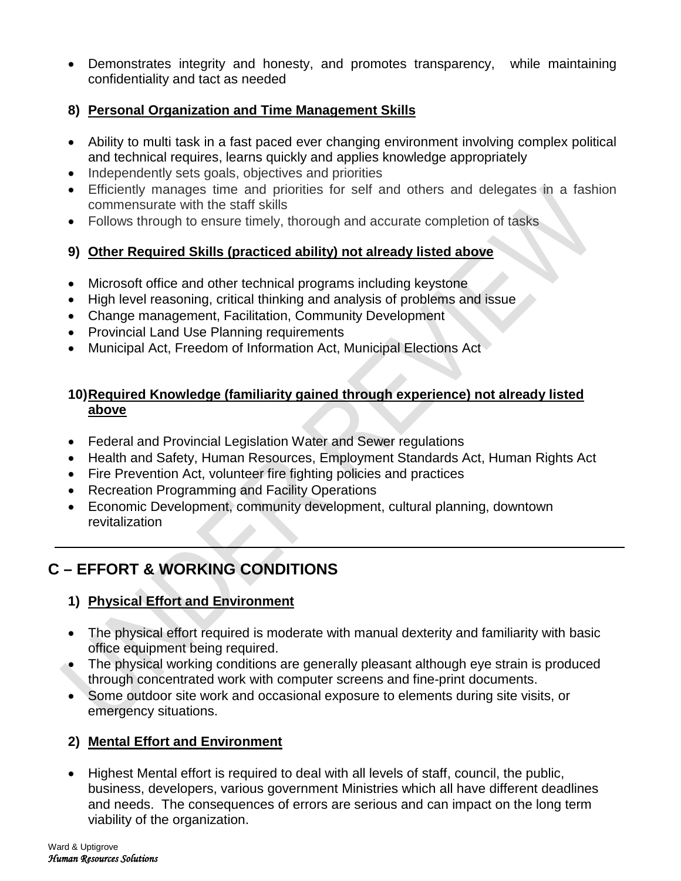• Demonstrates integrity and honesty, and promotes transparency, while maintaining confidentiality and tact as needed

## **8) Personal Organization and Time Management Skills**

- Ability to multi task in a fast paced ever changing environment involving complex political and technical requires, learns quickly and applies knowledge appropriately
- Independently sets goals, objectives and priorities
- Efficiently manages time and priorities for self and others and delegates in a fashion commensurate with the staff skills
- Follows through to ensure timely, thorough and accurate completion of tasks

## **9) Other Required Skills (practiced ability) not already listed above**

- Microsoft office and other technical programs including keystone
- High level reasoning, critical thinking and analysis of problems and issue
- Change management, Facilitation, Community Development
- Provincial Land Use Planning requirements
- Municipal Act, Freedom of Information Act, Municipal Elections Act

## **10)Required Knowledge (familiarity gained through experience) not already listed above**

- Federal and Provincial Legislation Water and Sewer regulations
- Health and Safety, Human Resources, Employment Standards Act, Human Rights Act
- Fire Prevention Act, volunteer fire fighting policies and practices
- Recreation Programming and Facility Operations
- Economic Development, community development, cultural planning, downtown revitalization

# **C – EFFORT & WORKING CONDITIONS**

## **1) Physical Effort and Environment**

- The physical effort required is moderate with manual dexterity and familiarity with basic office equipment being required.
- The physical working conditions are generally pleasant although eye strain is produced through concentrated work with computer screens and fine-print documents.
- Some outdoor site work and occasional exposure to elements during site visits, or emergency situations.

## **2) Mental Effort and Environment**

• Highest Mental effort is required to deal with all levels of staff, council, the public, business, developers, various government Ministries which all have different deadlines and needs. The consequences of errors are serious and can impact on the long term viability of the organization.